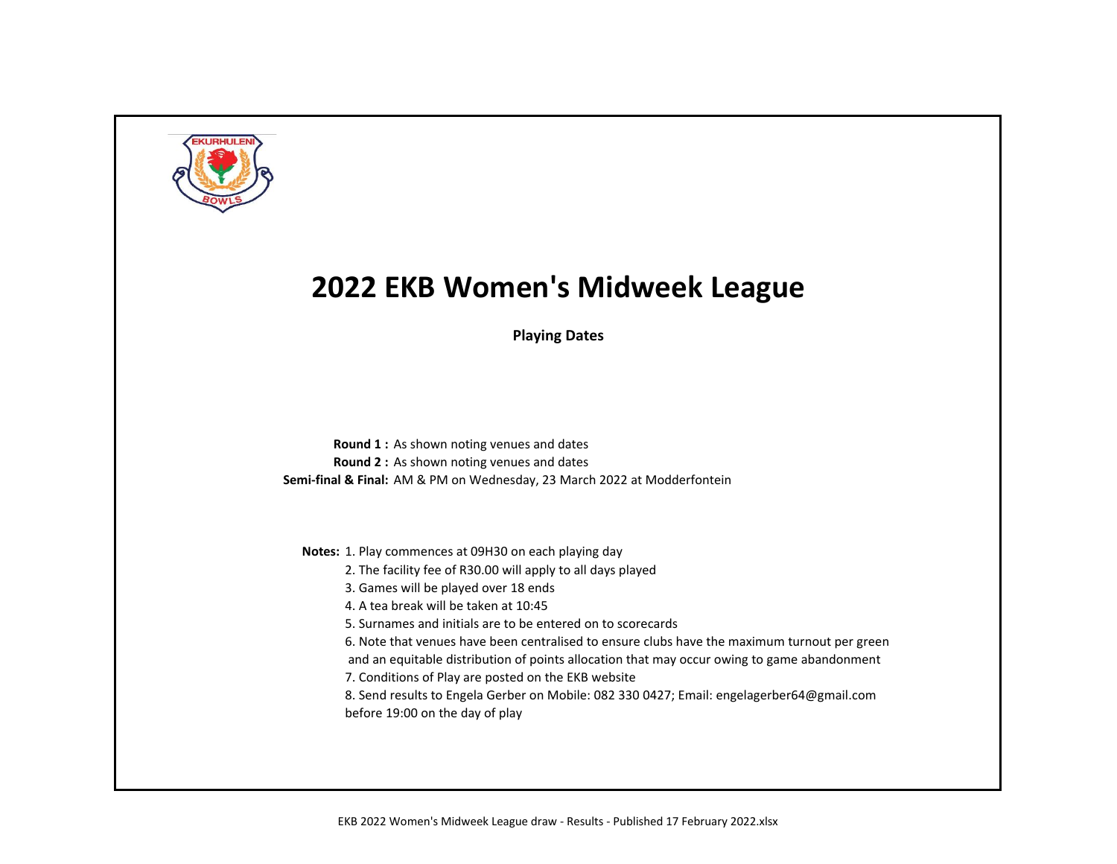

**Playing Dates**

**Round 1 :** As shown noting venues and dates **Round 2 :** As shown noting venues and dates **Semi-final & Final:** AM & PM on Wednesday, 23 March 2022 at Modderfontein

**Notes:** 1. Play commences at 09H30 on each playing day

- 2. The facility fee of R30.00 will apply to all days played
- 3. Games will be played over 18 ends
- 4. A tea break will be taken at 10:45
- 5. Surnames and initials are to be entered on to scorecards
- 6. Note that venues have been centralised to ensure clubs have the maximum turnout per green
- and an equitable distribution of points allocation that may occur owing to game abandonment
- 7. Conditions of Play are posted on the EKB website
- 8. Send results to Engela Gerber on Mobile: 082 330 0427; Email: engelagerber64@gmail.com before 19:00 on the day of play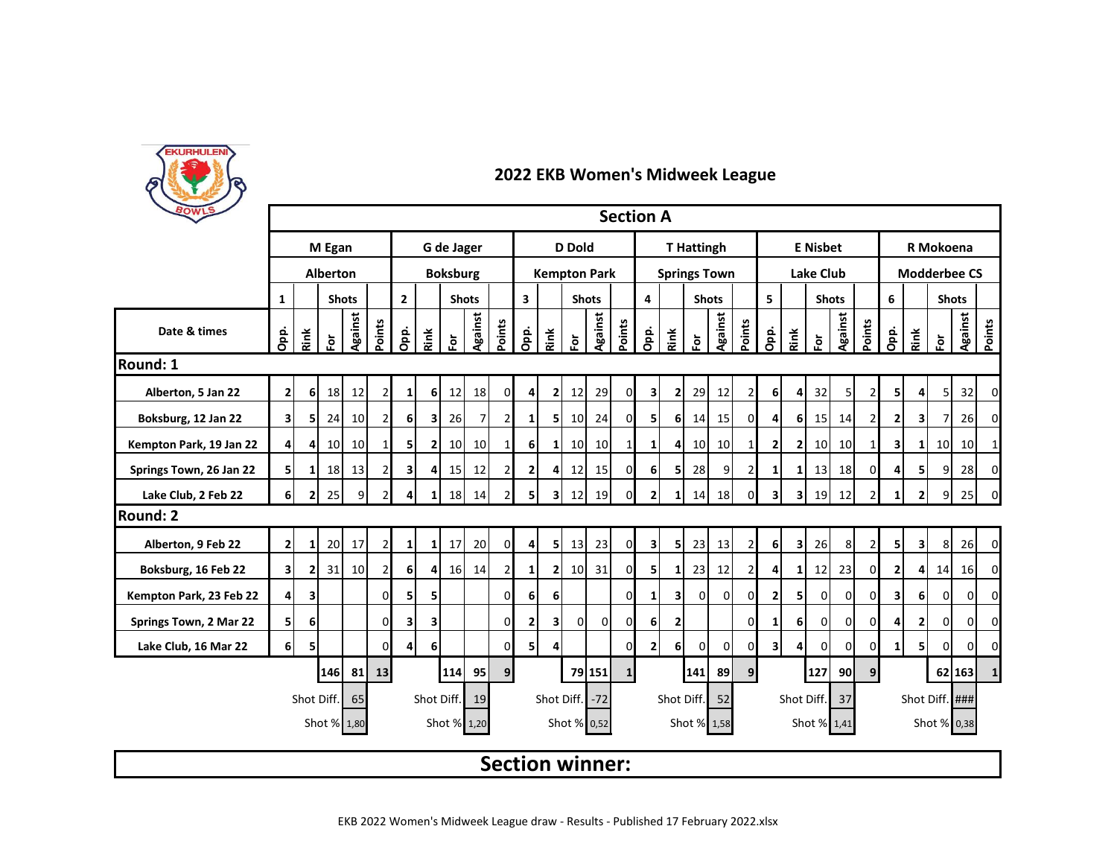

| BOWLS                   |                                                                                        |                         |                    |                |                |                                |                         |                 |                 |                |                         |                         |                        |                 | <b>Section A</b> |                         |                |                   |                |                |                         |                         |                  |                |                |                         |                |                      |          |              |
|-------------------------|----------------------------------------------------------------------------------------|-------------------------|--------------------|----------------|----------------|--------------------------------|-------------------------|-----------------|-----------------|----------------|-------------------------|-------------------------|------------------------|-----------------|------------------|-------------------------|----------------|-------------------|----------------|----------------|-------------------------|-------------------------|------------------|----------------|----------------|-------------------------|----------------|----------------------|----------|--------------|
|                         |                                                                                        |                         | M Egan             |                |                |                                |                         | G de Jager      |                 |                |                         |                         | <b>D</b> Dold          |                 |                  |                         |                | <b>T</b> Hattingh |                |                |                         |                         | <b>E</b> Nisbet  |                |                | R Mokoena               |                |                      |          |              |
|                         |                                                                                        |                         | <b>Alberton</b>    |                |                |                                |                         | <b>Boksburg</b> |                 |                |                         |                         | <b>Kempton Park</b>    |                 |                  | <b>Springs Town</b>     |                |                   |                |                |                         |                         | <b>Lake Club</b> |                |                | <b>Modderbee CS</b>     |                |                      |          |              |
|                         | $\mathbf{1}$                                                                           |                         |                    | <b>Shots</b>   |                | $\overline{2}$<br><b>Shots</b> |                         |                 |                 |                | $\overline{\mathbf{3}}$ |                         | <b>Shots</b>           |                 |                  | 4                       |                | <b>Shots</b>      |                |                | 5                       |                         | <b>Shots</b>     |                |                | 6                       |                | <b>Shots</b>         |          |              |
| Date & times            | Opp.                                                                                   | Rink                    | $\bar{\mathbf{e}}$ | <b>Against</b> | Points         | Opp.                           | Rink                    | ទ្ធ             | <b>Against</b>  | Points         | Opp.                    | Rink                    | 혼                      | <b>Against</b>  | Points           | Opp.                    | Rink           | Ğ                 | <b>Against</b> | Points         | Opp.                    | Rink                    | $\bf \bar{e}$    | Against        | Points         | Opp.                    | Rink           | $\tilde{\mathbf{g}}$ | Against  | Points       |
| <b>Round: 1</b>         |                                                                                        |                         |                    |                |                |                                |                         |                 |                 |                |                         |                         |                        |                 |                  |                         |                |                   |                |                |                         |                         |                  |                |                |                         |                |                      |          |              |
| Alberton, 5 Jan 22      | 2                                                                                      | 6 <sup>1</sup>          | 18                 | 12             | $\overline{2}$ | $\mathbf{1}$                   | 6 <sup>1</sup>          | 12              | 18              | $\overline{0}$ | 41                      | $\mathbf{2}$            | 12                     | 29              | $\mathbf{0}$     | 3                       | $\mathbf{2}$   | 29                | 12             | 2              | 6 <sup>1</sup>          | 4                       | 32               | 5              | $\overline{2}$ | 51                      | 4              | 5 <sup>1</sup>       | 32       | 0            |
| Boksburg, 12 Jan 22     | $\overline{\mathbf{3}}$                                                                | 51                      | 24                 | 10             | $\overline{2}$ | 6                              | $\overline{\mathbf{3}}$ | 26              | $\overline{7}$  | $\overline{2}$ | 1 <sup>1</sup>          | 51                      | 10 <sup>1</sup>        | 24              | $\overline{0}$   | 5                       | 6 <sup>1</sup> | 14                | 15             | 0              | $\overline{4}$          | 6                       | 15               | 14             | $\overline{2}$ | $\overline{\mathbf{2}}$ | 3              | $\overline{7}$       | 26       | 0            |
| Kempton Park, 19 Jan 22 | $\overline{4}$                                                                         | $\overline{4}$          | 10 <sup>1</sup>    | 10             |                | 5                              | 2                       | 10 <sup>1</sup> | 10 <sup>1</sup> | 1              | 6 <sup>1</sup>          | $\mathbf{1}$            | 10 <sup>1</sup>        | 10 <sup>1</sup> | $1\vert$         | 11                      | 4              | 10                | 10             | 1              | $\mathbf{2}$            | 2                       | 10               | 10             | 1              | 3                       | 1I             | 10 <sup>1</sup>      | 10       |              |
| Springs Town, 26 Jan 22 | 5                                                                                      | 1                       | 18                 | 13             | 2              | $\mathbf{3}$                   | 4                       | 15              | 12              | 2              | $\overline{2}$          | 4                       | 12                     | 15              | $\overline{0}$   | <b>6</b>                | 5 <sub>l</sub> | 28                | 9              | $\overline{2}$ | 1                       | 1                       | 13               | 18             | $\Omega$       |                         |                | $\overline{9}$       | 28       | 0            |
| Lake Club, 2 Feb 22     | 61                                                                                     | 21                      | 25                 | 9              | $\overline{2}$ | 4                              | 1                       | 18              | 14              | $\overline{2}$ | 5 <sup>1</sup>          | 31                      | 12                     | 19              | $\Omega$         | 2 <sup>1</sup>          | $\mathbf{1}$   | 14                | 18             | 0              | $\overline{\mathbf{3}}$ | $\overline{\mathbf{3}}$ | 19               | 12             | $\overline{2}$ |                         | $\mathbf{2}$   | 9 <sub>l</sub>       | 25       | 0            |
| <b>Round: 2</b>         |                                                                                        |                         |                    |                |                |                                |                         |                 |                 |                |                         |                         |                        |                 |                  |                         |                |                   |                |                |                         |                         |                  |                |                |                         |                |                      |          |              |
| Alberton, 9 Feb 22      | $\overline{2}$                                                                         | $\mathbf{1}$            | 20                 | 17             | $\overline{2}$ | $\mathbf{1}$                   | $\mathbf{1}$            | 17              | 20              | $\overline{0}$ | $\overline{4}$          | 5 <sup>1</sup>          | 13                     | 23              | $\overline{0}$   | $\overline{\mathbf{3}}$ | 5              | 23                | 13             | $\overline{2}$ | 6 <sup>1</sup>          | $\overline{\mathbf{3}}$ | 26               | 8              | $\overline{2}$ | 51                      | 3              | 8                    | 26       | 0            |
| Boksburg, 16 Feb 22     | $\overline{\mathbf{3}}$                                                                | 21                      | 31                 | 10             | $\overline{2}$ | $6 \mid$                       | 4                       | 16              | 14              | $\overline{2}$ | 1                       | $\overline{2}$          | 10                     | 31              | $\overline{0}$   | 5                       | 1              | 23                | 12             | 2              | 4                       | 1                       | 12               | 23             | $\Omega$       | 2                       | 4              | 14                   | 16       | 0            |
| Kempton Park, 23 Feb 22 | $\overline{4}$                                                                         | $\overline{\mathbf{3}}$ |                    |                | $\Omega$       | 5 <sup>1</sup>                 | 5                       |                 |                 | $\Omega$       | 6 <sup>1</sup>          | 6                       |                        |                 | $\Omega$         | 1 <sup>1</sup>          | $\mathbf{3}$   | $\Omega$          | $\Omega$       | $\Omega$       | 2 <sub>l</sub>          | 5                       | $\Omega$         | οI             | $\Omega$       | $\overline{\mathbf{3}}$ | 6 <sup>1</sup> | $\mathbf{0}$         | $\Omega$ | $\Omega$     |
| Springs Town, 2 Mar 22  | 5                                                                                      | 6 <sup>1</sup>          |                    |                | $\Omega$       | $\mathbf{3}$                   | 3                       |                 |                 | 0              | $\mathbf{2}$            | $\overline{\mathbf{3}}$ | $\Omega$               | $\mathbf{0}$    | $\overline{0}$   | 6 <sup>1</sup>          | $\overline{2}$ |                   |                | 0              | $\mathbf{1}$            | 6                       | 0                | $\overline{0}$ | $\Omega$       | Δ                       | $\mathbf{2}$   | $\overline{0}$       | $\Omega$ | 0            |
| Lake Club, 16 Mar 22    | 6 <sup>1</sup>                                                                         | 5                       |                    |                | $\Omega$       | $\overline{4}$                 | 6                       |                 |                 | $\Omega$       | 5                       | 4                       |                        |                 | $\Omega$         | 2 <sub>l</sub>          | 6              | $\overline{0}$    | $\overline{0}$ | 0              | 3 <sup>1</sup>          | 4                       | $\mathbf 0$      | $\mathbf 0$    | 0              | 1                       | 51             | $\mathbf{0}$         | 0        | 0            |
|                         |                                                                                        |                         | 146                | -81            | 13             |                                |                         | 114             | 95              | 9 <sub>l</sub> |                         |                         |                        | 79 151          | $\mathbf{1}$     |                         |                | 141               | 89             | 9              |                         |                         | 127              | 90I            | 9              |                         |                |                      | 62 163   | $\mathbf{1}$ |
|                         |                                                                                        | Shot Diff.              |                    | 65             |                |                                | Shot Diff.              |                 | 19              |                |                         |                         | Shot Diff. -72         |                 |                  |                         | Shot Diff.     |                   | 52             |                |                         | Shot Diff.              |                  | 37             |                |                         |                | Shot Diff. ###       |          |              |
|                         | Shot % 1,20<br>Shot % 0,52<br>Shot % 1,58<br>Shot % 1,41<br>Shot % 0,38<br>Shot % 1,80 |                         |                    |                |                |                                |                         |                 |                 |                |                         |                         |                        |                 |                  |                         |                |                   |                |                |                         |                         |                  |                |                |                         |                |                      |          |              |
|                         |                                                                                        |                         |                    |                |                |                                |                         |                 |                 |                |                         |                         | <b>Section winner:</b> |                 |                  |                         |                |                   |                |                |                         |                         |                  |                |                |                         |                |                      |          |              |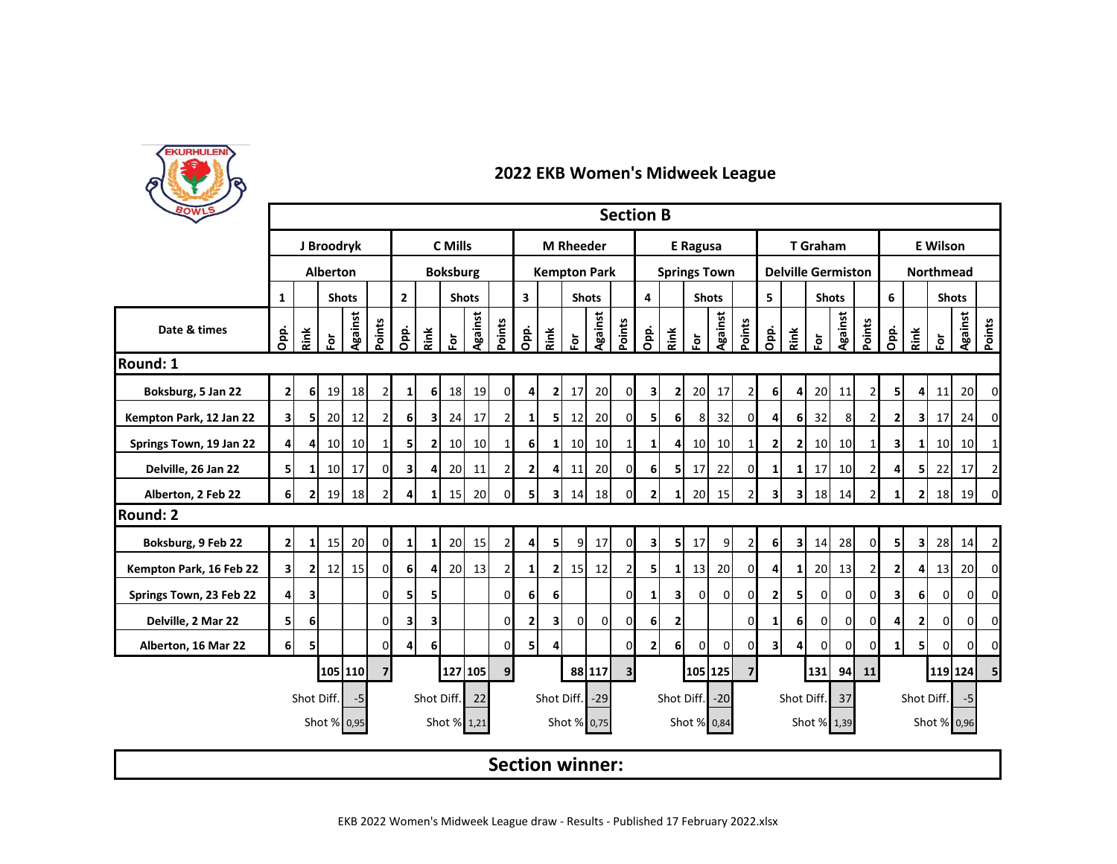

| BOWLS                   |                         |                |                 |              |                |                                |                         |                 |                 |                                         |                     |                  |                        |                         | <b>Section B</b> |                     |                |                 |                |                         |                |                           |                 |                 |                |                         |                         |                  |                |                |  |  |  |
|-------------------------|-------------------------|----------------|-----------------|--------------|----------------|--------------------------------|-------------------------|-----------------|-----------------|-----------------------------------------|---------------------|------------------|------------------------|-------------------------|------------------|---------------------|----------------|-----------------|----------------|-------------------------|----------------|---------------------------|-----------------|-----------------|----------------|-------------------------|-------------------------|------------------|----------------|----------------|--|--|--|
|                         |                         |                | J Broodryk      |              |                |                                |                         | C Mills         |                 |                                         |                     |                  | <b>M</b> Rheeder       |                         |                  |                     |                | <b>E</b> Ragusa |                |                         |                |                           | <b>T</b> Graham |                 |                |                         |                         |                  |                |                |  |  |  |
|                         |                         |                | <b>Alberton</b> |              |                |                                |                         | <b>Boksburg</b> |                 |                                         | <b>Kempton Park</b> |                  |                        |                         |                  | <b>Springs Town</b> |                |                 |                |                         |                | <b>Delville Germiston</b> |                 |                 |                |                         |                         | <b>Northmead</b> |                |                |  |  |  |
|                         | $\mathbf{1}$            |                |                 | <b>Shots</b> |                | $\overline{2}$<br><b>Shots</b> |                         |                 |                 | $\overline{\mathbf{3}}$<br><b>Shots</b> |                     |                  |                        | $\overline{\mathbf{4}}$ | <b>Shots</b>     |                     |                | 5.              | <b>Shots</b>   |                         |                |                           | 6               | <b>Shots</b>    |                |                         |                         |                  |                |                |  |  |  |
| Date & times            | Opp.                    | Rink           | $\bf \bar{e}$   | Against      | Points         | Opp.                           | Rink                    | 효               | Against         | Points                                  | <u>ခဲ့</u>          | Rink             | ō.                     | Against                 | Points           | Opp.                | Rink           | èĭ              | Against        | Points                  | Opp.           | Rink                      | è               | Against         | Points         | Opp.                    | Rink                    | $\bf \bar{e}$    | <b>Against</b> | Points         |  |  |  |
| Round: 1                |                         |                |                 |              |                |                                |                         |                 |                 |                                         |                     |                  |                        |                         |                  |                     |                |                 |                |                         |                |                           |                 |                 |                |                         |                         |                  |                |                |  |  |  |
| Boksburg, 5 Jan 22      | $\overline{2}$          | 6              | 19              | 18           | $\overline{2}$ | $1\vert$                       | 6 <sup>1</sup>          | 18              | 19              | $\mathbf 0$                             | $\boldsymbol{4}$    | $\overline{2}$   | 17                     | 20                      | $\overline{0}$   | 3                   | $\mathbf{2}$   | <b>20</b>       | 17             | 2                       | 6 <sup>1</sup> | 4                         | 20              | 11              | $\overline{2}$ | 51                      | $\overline{4}$          | 11               | 20             | 0              |  |  |  |
| Kempton Park, 12 Jan 22 | $\overline{\mathbf{3}}$ | 51             | 20              | 12           | $\mathcal{P}$  | 6                              | $\mathbf{3}$            | 24              | 17              | $\overline{2}$                          | 1 <sup>1</sup>      | 5                | 12                     | 20                      | $\mathbf{0}$     | 51                  | 6              | 8               | 32             | 0                       | $\overline{4}$ | 6                         | 32              | 8               | $\overline{2}$ | 2                       | 31                      | 17               | 24             | 0              |  |  |  |
| Springs Town, 19 Jan 22 | $\overline{4}$          | 4              | 10 <sup>1</sup> | 10           | 1              | 5                              | $\mathbf{2}$            | 10              | 10 <sup>1</sup> | $\mathbf{1}$                            | 6                   | $1\vert$         | 10 <sup>1</sup>        | 10 <sup>1</sup>         | 1 <sup>1</sup>   | $1\vert$            | 4              | 10 <sup>1</sup> | 10             | 1                       | $\mathbf{2}$   | 2                         | 10 <sup>1</sup> | 10 <sup>1</sup> | 1              | 3                       | $\mathbf{1}$            | 10               | 10             | $\mathbf{1}$   |  |  |  |
| Delville, 26 Jan 22     | 5                       |                | 10 <sup>1</sup> | 17           | $\Omega$       | зI                             | $\overline{4}$          | 20              | 11              | $\overline{2}$                          | 2 <sub>1</sub>      | $\overline{4}$   | 11                     | 20                      | $\overline{0}$   | 6 <sup>1</sup>      | 51             | 17              | 22             | 0                       | 1              | 1                         | 17              | 10              | $\overline{2}$ |                         | 51                      | 22               | 17             | $\overline{2}$ |  |  |  |
| Alberton, 2 Feb 22      | 6 <sup>1</sup>          | 2              | 19              | 18           |                | 4                              | $\mathbf{1}$            | 15              | 20              | $\Omega$                                | 5                   | 3I               | 14                     | 18                      | $\overline{0}$   | $\overline{2}$      | $\mathbf{1}$   | 20              | 15             | $\overline{2}$          | 3 <sup>1</sup> | 3                         | 18              | 14              | $\overline{2}$ | 1                       | $\mathbf{2}$            | 18               | 19             | 0              |  |  |  |
| <b>Round: 2</b>         |                         |                |                 |              |                |                                |                         |                 |                 |                                         |                     |                  |                        |                         |                  |                     |                |                 |                |                         |                |                           |                 |                 |                |                         |                         |                  |                |                |  |  |  |
| Boksburg, 9 Feb 22      | $\overline{2}$          | 1              | 15              | 20           | $\Omega$       | 1                              | $1\overline{ }$         | 20              | 15              | $\overline{2}$                          | $\boldsymbol{4}$    | 5 <sup>1</sup>   | 9                      | 17                      | $\circ$          | 3                   | 51             | 17              | 9              | $\overline{2}$          | 6              | 3I                        | 14              | 28              | $\Omega$       | 51                      | $\overline{\mathbf{3}}$ | 28               | 14             | $\overline{2}$ |  |  |  |
| Kempton Park, 16 Feb 22 | $\overline{\mathbf{3}}$ | $\overline{2}$ | 12              | 15           | $\Omega$       | <sup>6</sup>                   | $\overline{4}$          | 20              | 13              | $\overline{2}$                          | 1 <sup>1</sup>      | $\overline{2}$   | 15                     | 12                      | $\overline{2}$   | 51                  | $\mathbf{1}$   | 13              | 20             | 0                       | 4              | 1                         | 20              | 13              | $\overline{2}$ |                         |                         | 13               | 20             | $\Omega$       |  |  |  |
| Springs Town, 23 Feb 22 | $\overline{4}$          | 3              |                 |              | $\Omega$       | 51                             | 5 <sub>l</sub>          |                 |                 | <sub>0</sub>                            | 6 <sup>1</sup>      | $6 \overline{6}$ |                        |                         | $\mathbf{0}$     | $\mathbf{1}$        | 31             | $\mathbf{0}$    | $\overline{0}$ | $\overline{0}$          | 2 <sub>1</sub> | 5 <sub>l</sub>            | $\overline{0}$  | Οl              | $\Omega$       | $\overline{\mathbf{3}}$ | 61                      | $\overline{0}$   | οI             | $\overline{0}$ |  |  |  |
| Delville, 2 Mar 22      | 5                       | 6              |                 |              | $\Omega$       | 3                              | $\overline{\mathbf{3}}$ |                 |                 | $\Omega$                                | 2                   | $\mathbf{3}$     | Οl                     | $\overline{0}$          | $\mathbf{0}$     | 6 <sup>1</sup>      | $\overline{2}$ |                 |                | 0                       | 1              | 6                         | 0               | $\Omega$        | $\Omega$       | Δ                       | 2                       | $\Omega$         | $\Omega$       | 0              |  |  |  |
| Alberton, 16 Mar 22     | 6 <sup>1</sup>          | 5              |                 |              | $\Omega$       | $\overline{4}$                 | 6                       |                 |                 | $\Omega$                                | 5 <sub>1</sub>      | 4                |                        |                         | $\overline{0}$   | 2 <sub>1</sub>      | 6              | $\Omega$        | $\overline{0}$ | 0                       | 3 <sup>1</sup> | 4                         | $\Omega$        | $\Omega$        |                | 1                       | 51                      | $\Omega$         | $\Omega$       | $\Omega$       |  |  |  |
|                         |                         |                |                 | 105 110      | $\overline{7}$ |                                |                         |                 | 127 105         | 9                                       |                     |                  |                        | 88 117                  | 3 <sup>l</sup>   |                     |                |                 | 105 125        | $\overline{\mathbf{z}}$ |                |                           | 131             | 94              | 11             |                         |                         | 119 124          |                | 5 <sub>l</sub> |  |  |  |
|                         |                         | Shot Diff.     |                 | $-5$         |                |                                |                         | Shot Diff.      | 22              |                                         |                     |                  | Shot Diff.             | $-29$                   |                  |                     | Shot Diff.     |                 | $-20$          |                         |                |                           | Shot Diff.      | 37              |                | Shot Diff.<br>-5        |                         |                  |                |                |  |  |  |
|                         |                         |                |                 | Shot % 0,95  |                |                                |                         | Shot % 1,21     |                 |                                         |                     |                  | Shot % 0,75            |                         |                  |                     |                | Shot % 0,84     |                |                         |                |                           | Shot % 1,39     |                 |                |                         |                         | Shot % 0,96      |                |                |  |  |  |
|                         |                         |                |                 |              |                |                                |                         |                 |                 |                                         |                     |                  | <b>Section winner:</b> |                         |                  |                     |                |                 |                |                         |                |                           |                 |                 |                |                         |                         |                  |                |                |  |  |  |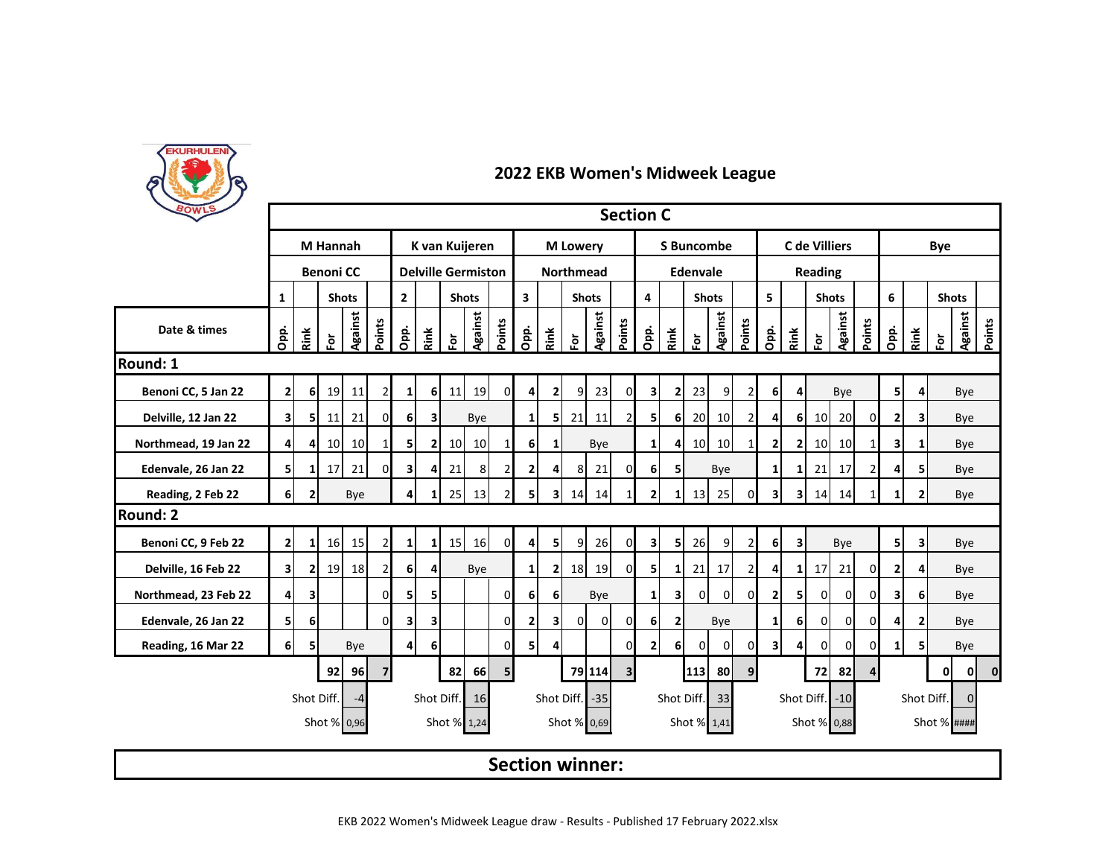

| BOWLS                | <b>Section C</b><br>C de Villiers<br>K van Kuijeren<br><b>S</b> Buncombe |                |                  |                 |                |                             |                         |                 |                           |                                         |                  |                  |                         |                |                 |                |                |                 |                 |                |                         |                |                 |                |                |                 |                         |               |                          |
|----------------------|--------------------------------------------------------------------------|----------------|------------------|-----------------|----------------|-----------------------------|-------------------------|-----------------|---------------------------|-----------------------------------------|------------------|------------------|-------------------------|----------------|-----------------|----------------|----------------|-----------------|-----------------|----------------|-------------------------|----------------|-----------------|----------------|----------------|-----------------|-------------------------|---------------|--------------------------|
|                      |                                                                          |                | <b>M</b> Hannah  |                 |                |                             |                         |                 |                           |                                         |                  |                  | <b>M</b> Lowery         |                |                 |                |                |                 |                 |                |                         |                |                 |                | Bye            |                 |                         |               |                          |
|                      |                                                                          |                | <b>Benoni CC</b> |                 |                |                             |                         |                 | <b>Delville Germiston</b> |                                         |                  |                  | <b>Northmead</b>        |                |                 |                |                | <b>Edenvale</b> |                 |                |                         |                | Reading         |                |                |                 |                         |               |                          |
|                      | $\mathbf{1}$                                                             |                |                  | <b>Shots</b>    |                | $2^{\circ}$<br><b>Shots</b> |                         |                 |                           | $\overline{\mathbf{3}}$<br><b>Shots</b> |                  |                  | $\overline{\mathbf{4}}$ |                | <b>Shots</b>    |                |                | 5               |                 | <b>Shots</b>   |                         |                | 6               | <b>Shots</b>   |                |                 |                         |               |                          |
| Date & times         | Opp.                                                                     | Rink           | $\bf \bar{e}$    | Against         | Points         | Opp.                        | Rink                    | $\bf \bar{e}$   | <b>Against</b>            | Points                                  | Opp.             | Rink             | ទ្                      | Against        | Points          | Opp.           | Rink           | $\bf \bar{e}$   | Against         | Points         | Opp.                    | Rink           | è               | Against        | Points         | Opp.            | Rink                    | $\bf \bar{e}$ | <b>Against</b><br>Points |
| Round: 1             |                                                                          |                |                  |                 |                |                             |                         |                 |                           |                                         |                  |                  |                         |                |                 |                |                |                 |                 |                |                         |                |                 |                |                |                 |                         |               |                          |
| Benoni CC, 5 Jan 22  | $\mathbf{2}$                                                             | 6              | 19               | 11              | $\overline{2}$ | $1\vert$                    | 6 <sup>1</sup>          | 11              | 19                        | $\overline{0}$                          | $\boldsymbol{4}$ | $\mathbf{2}$     | 9                       | 23             | $\mathbf{0}$    | 3              | $\mathbf{2}$   | 23              | 9               | 2              | 6                       | 4              |                 | Bye            |                | 51              | 4                       |               | Bye                      |
| Delville, 12 Jan 22  | $\overline{\mathbf{3}}$                                                  | 5              | 11               | 21              | $\Omega$       | 6                           | $\overline{\mathbf{3}}$ |                 | Bye                       |                                         | 1 <sup>1</sup>   | 51               | 21                      | 11             | $\overline{2}$  | 5              | 6 <sup>1</sup> | 20              | 10              | $\overline{2}$ | 4                       | 6              | 10              | 20             | $\Omega$       | $\mathbf{2}$    | 3                       |               | Bye                      |
| Northmead, 19 Jan 22 | $\overline{4}$                                                           | 4              | 10 <sup>1</sup>  | 10 <sup>1</sup> | 11             | 5                           | $\mathbf{2}$            | 10 <sup>1</sup> | 10 <sup>1</sup>           | $\mathbf{1}$                            | 6                | 1                |                         | Bye            |                 | 1 <sup>1</sup> | 4              | 10 <sup>1</sup> | 10 <sup>1</sup> | 1              | $\overline{2}$          | $\overline{2}$ | 10 <sup>1</sup> | 10             | -1             | 3               | 1                       |               | Bye                      |
| Edenvale, 26 Jan 22  | 5                                                                        | 1              | 17               | 21              | $\Omega$       | 31                          | 4                       | 21              | 8                         | $\overline{2}$                          | 2 <sub>l</sub>   | 4                | 8 <sup>1</sup>          | 21             | $\mathbf{0}$    | 6 <sup>1</sup> | 51             |                 | Bye             |                | 1                       | 1              | 21              | 17             | $\overline{2}$ | Δ               | 51                      |               | Bye                      |
| Reading, 2 Feb 22    | <sup>6</sup>                                                             | $\overline{2}$ |                  | Bye             |                | 4                           | $\mathbf{1}$            | 25              | 13                        | $\overline{2}$                          | 5 <sup>1</sup>   | 3I               | 14                      | 14             | $1\overline{ }$ | $\overline{2}$ | $\mathbf{1}$   | 13              | 25              | 0              | $\overline{\mathbf{3}}$ | 31             | 14              | 14             |                | 1               | $\mathbf{2}$            |               | Bye                      |
| Round: 2             |                                                                          |                |                  |                 |                |                             |                         |                 |                           |                                         |                  |                  |                         |                |                 |                |                |                 |                 |                |                         |                |                 |                |                |                 |                         |               |                          |
| Benoni CC, 9 Feb 22  | $\overline{2}$                                                           | 1              | 16               | 15 <sup>1</sup> | $\overline{2}$ | 1                           | $1\overline{1}$         | 15              | 16                        | $\overline{0}$                          | 4 <sup>1</sup>   | 5 <sub>l</sub>   | 9                       | 26             | $\overline{0}$  | 3              | 5              | 26              | 9               | 2              | 6                       | 3              |                 | Bye            |                | 51              | $\overline{\mathbf{3}}$ |               | Bye                      |
| Delville, 16 Feb 22  | $\overline{\mathbf{3}}$                                                  | 2              | 19               | 18              | $\overline{2}$ | 6                           | $\overline{4}$          |                 | Bye                       |                                         | $\mathbf{1}$     | $\mathbf{2}$     | 18                      | 19             | $\mathbf{0}$    | 5              | $\mathbf{1}$   | 21              | 17              | 2              | 4                       | 1              | 17              | 21             | $\Omega$       | 2               |                         |               | Bye                      |
| Northmead, 23 Feb 22 | $\overline{4}$                                                           | 3              |                  |                 | <sub>0</sub>   | 51                          | 5                       |                 |                           | $\Omega$                                | 6 <sup>1</sup>   | $6 \overline{6}$ |                         | Bye            |                 | 1 <sup>1</sup> | $\mathbf{3}$   | $\Omega$        | $\Omega$        | $\Omega$       | 2 <sub>l</sub>          | 5 <sub>l</sub> | $\Omega$        | $\overline{0}$ | $\Omega$       | 3               | 6 <sup>1</sup>          |               | Bye                      |
| Edenvale, 26 Jan 22  | 5                                                                        | 6              |                  |                 | $\Omega$       | $\overline{\mathbf{3}}$     | $\overline{\mathbf{3}}$ |                 |                           | <sub>0</sub>                            | 2                | $\mathbf{3}$     | $\Omega$                | $\overline{0}$ | $\mathbf{0}$    | 6              | $\overline{2}$ |                 | Bye             |                | $1\overline{ }$         | 6              | 0               | $\Omega$       | $\Omega$       | Δ               | $\mathbf{2}$            |               | Bye                      |
| Reading, 16 Mar 22   | 6 <sup>1</sup>                                                           | 5              |                  | Bye             |                | $\overline{4}$              | 6                       |                 |                           | $\Omega$                                | 5                | 4                |                         |                | $\overline{0}$  | 2 <sub>l</sub> | 6              | $\mathbf{0}$    | $\overline{0}$  | 0              | $\overline{\mathbf{3}}$ | 4              | 0               | $\mathbf 0$    | $\Omega$       | 1               |                         |               | Bye                      |
|                      |                                                                          |                | 92               | 96              | $\overline{7}$ |                             |                         | 82              | <b>66</b>                 | 5 <sub>l</sub>                          |                  |                  |                         | 79 114         | 3 <sup>l</sup>  |                |                | 113             | <b>80</b>       | 9              |                         |                | 72              | 82             |                |                 |                         | 0             | οI<br>$\mathbf{0}$       |
|                      |                                                                          | Shot Diff.     |                  | $-4$            |                |                             |                         | Shot Diff.      | 16                        |                                         |                  |                  | Shot Diff.              | $-35$          |                 |                | Shot Diff.     |                 | 33              |                |                         | Shot Diff.     |                 | $-10$          |                | Shot Diff.<br>0 |                         |               |                          |
|                      |                                                                          |                |                  | Shot % 0,96     |                |                             |                         | Shot % 1,24     |                           |                                         |                  |                  | Shot % 0,69             |                |                 |                |                |                 | Shot % 1,41     |                |                         |                | Shot % 0,88     |                |                |                 |                         | Shot % ####   |                          |
|                      |                                                                          |                |                  |                 |                |                             |                         |                 |                           |                                         |                  |                  | <b>Section winner:</b>  |                |                 |                |                |                 |                 |                |                         |                |                 |                |                |                 |                         |               |                          |